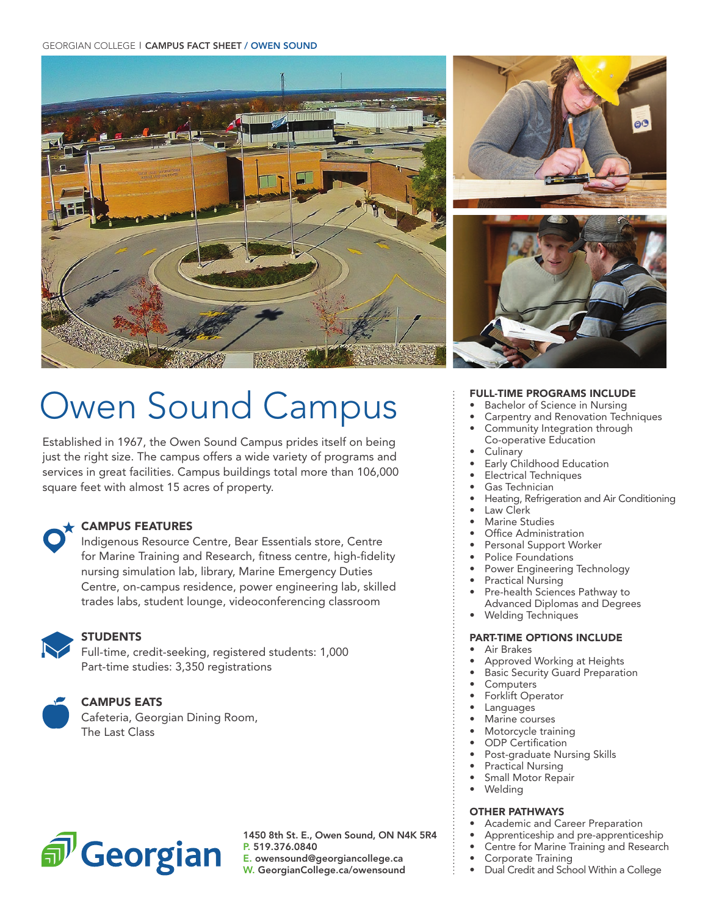#### GEORGIAN COLLEGE | CAMPUS FACT SHEET / OWEN SOUND





# Owen Sound Campus

Established in 1967, the Owen Sound Campus prides itself on being just the right size. The campus offers a wide variety of programs and services in great facilities. Campus buildings total more than 106,000 square feet with almost 15 acres of property.

#### CAMPUS FEATURES

Indigenous Resource Centre, Bear Essentials store, Centre for Marine Training and Research, fitness centre, high-fidelity nursing simulation lab, library, Marine Emergency Duties Centre, on-campus residence, power engineering lab, skilled trades labs, student lounge, videoconferencing classroom



### **STUDENTS**

Full-time, credit-seeking, registered students: 1,000 Part-time studies: 3,350 registrations



#### CAMPUS EATS

Cafeteria, Georgian Dining Room, The Last Class



1450 8th St. E., Owen Sound, ON N4K 5R4 P. 519.376.0840

E. owensound@georgiancollege.ca

W. GeorgianCollege.ca/owensound

#### FULL-TIME PROGRAMS INCLUDE

- Bachelor of Science in Nursing
- Carpentry and Renovation Techniques
- Community Integration through
- Co-operative Education
- **Culinary**
- Early Childhood Education
- Electrical Techniques
- Gas Technician
- Heating, Refrigeration and Air Conditioning
- Law Clerk
- Marine Studies<br>• Office Administ
- Office Administration
- Personal Support Worker
- Police Foundations Power Engineering Technology
- 
- Practical Nursing
- Pre-health Sciences Pathway to Advanced Diplomas and Degrees
- Welding Techniques

#### PART-TIME OPTIONS INCLUDE

- Air Brakes
- Approved Working at Heights
- Basic Security Guard Preparation
- **Computers**
- Forklift Operator
- **Languages**
- Marine courses
- Motorcycle training
- ODP Certification
- Post-graduate Nursing Skills
- Practical Nursing
- Small Motor Repair
- Welding

#### OTHER PATHWAYS

- Academic and Career Preparation
- Apprenticeship and pre-apprenticeship
- Centre for Marine Training and Research
- Corporate Training
- Dual Credit and School Within a College